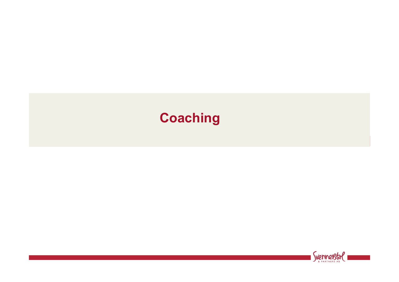# **Coaching**

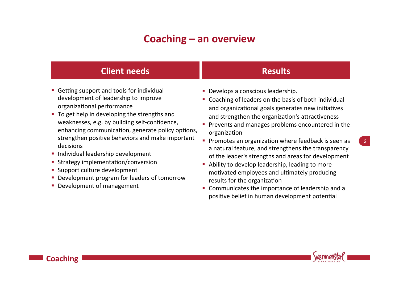#### **Coaching – an overview**

#### **Client needs Results**

- Getting support and tools for individual development of leadership to improve organizational performance
- To get help in developing the strengths and weaknesses, e.g. by building self-confidence, enhancing communication, generate policy options, strengthen positive behaviors and make important decisions
- Individual leadership development
- Strategy implementation/conversion
- Support culture development
- Development program for leaders of tomorrow
- **Development of management**

**Coaching** 

- **Develops a conscious leadership.**
- Coaching of leaders on the basis of both individual and organizational goals generates new initiatives and strengthen the organization's attractiveness
- **•** Prevents and manages problems encountered in the organization
- **Promotes an organization where feedback is seen as** a natural feature, and strengthens the transparency of the leader's strengths and areas for development
- Ability to develop leadership, leading to more motivated employees and ultimately producing results for the organization
- Communicates the importance of leadership and a positive belief in human development potential



2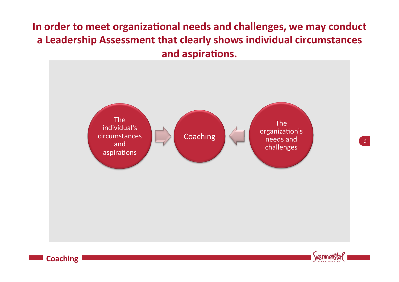## In order to meet organizational needs and challenges, we may conduct a Leadership Assessment that clearly shows individual circumstances and aspirations.







 $3<sup>°</sup>$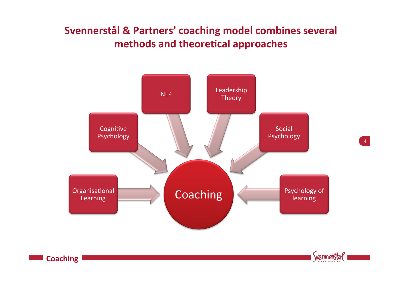## Svennerstål & Partners' coaching model combines several **methods and theoretical approaches**



**Coaching** 

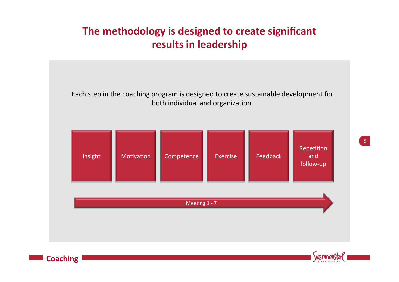#### The methodology is designed to create significant **results in leadership**





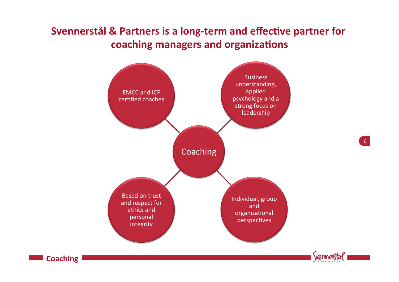#### **Svennerstål & Partners is a long-term and effective partner for** coaching managers and organizations



**Coaching** 



6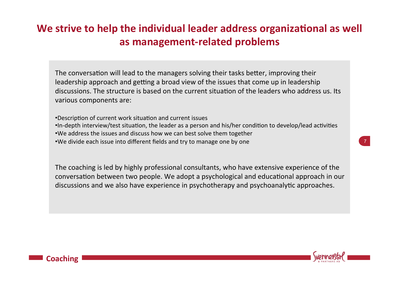## We strive to help the individual leader address organizational as well as management-related problems

The conversation will lead to the managers solving their tasks better, improving their leadership approach and getting a broad view of the issues that come up in leadership discussions. The structure is based on the current situation of the leaders who address us. Its various components are:

 $\mathcal{L}(\mathbf{r})$ •Description of current work situation and current issues •In-depth interview/test situation, the leader as a person and his/her condition to develop/lead activities •We address the issues and discuss how we can best solve them together •We divide each issue into different fields and try to manage one by one

The coaching is led by highly professional consultants, who have extensive experience of the conversation between two people. We adopt a psychological and educational approach in our discussions and we also have experience in psychotherapy and psychoanalytic approaches.